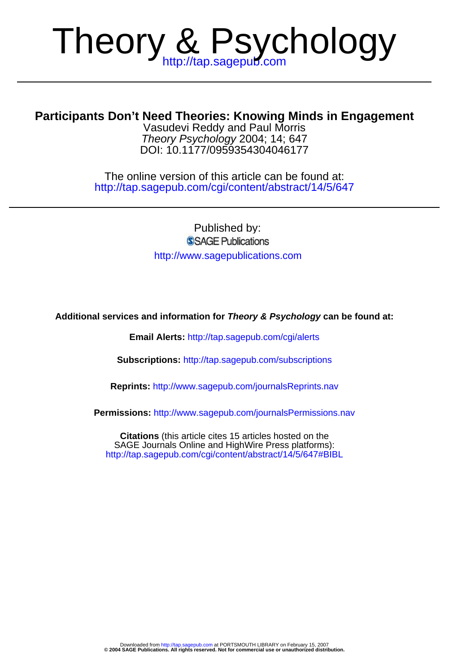# Theory & Psychology

## **Participants Don't Need Theories: Knowing Minds in Engagement**

DOI: 10.1177/0959354304046177 Theory Psychology 2004; 14; 647 Vasudevi Reddy and Paul Morris

http://tap.sagepub.com/cgi/content/abstract/14/5/647 The online version of this article can be found at:

> Published by: SSAGE Publications http://www.sagepublications.com

#### **Additional services and information for Theory & Psychology can be found at:**

**Email Alerts:** <http://tap.sagepub.com/cgi/alerts>

**Subscriptions:** <http://tap.sagepub.com/subscriptions>

**Reprints:** <http://www.sagepub.com/journalsReprints.nav>

**Permissions:** <http://www.sagepub.com/journalsPermissions.nav>

<http://tap.sagepub.com/cgi/content/abstract/14/5/647#BIBL> SAGE Journals Online and HighWire Press platforms): **Citations** (this article cites 15 articles hosted on the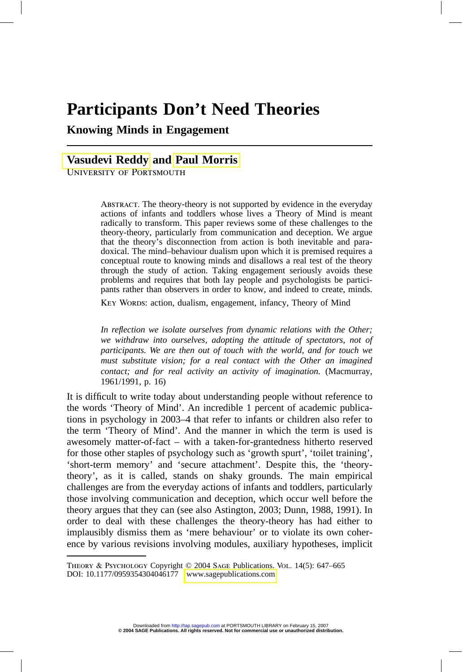# **Participants Don't Need Theories**

**Knowing Minds in Engagement**

### **[Vasudevi Reddy](#page-19-0) and [Paul Morris](#page-19-0)**

University of Portsmouth

Abstract. The theory-theory is not supported by evidence in the everyday actions of infants and toddlers whose lives a Theory of Mind is meant radically to transform. This paper reviews some of these challenges to the theory-theory, particularly from communication and deception. We argue that the theory's disconnection from action is both inevitable and paradoxical. The mind–behaviour dualism upon which it is premised requires a conceptual route to knowing minds and disallows a real test of the theory through the study of action. Taking engagement seriously avoids these problems and requires that both lay people and psychologists be participants rather than observers in order to know, and indeed to create, minds.

KEY WORDS: action, dualism, engagement, infancy, Theory of Mind

*In reflection we isolate ourselves from dynamic relations with the Other; we withdraw into ourselves, adopting the attitude of spectators, not of participants. We are then out of touch with the world, and for touch we must substitute vision; for a real contact with the Other an imagined contact; and for real activity an activity of imagination.* (Macmurray, 1961/1991, p. 16)

It is difficult to write today about understanding people without reference to the words 'Theory of Mind'. An incredible 1 percent of academic publications in psychology in 2003–4 that refer to infants or children also refer to the term 'Theory of Mind'. And the manner in which the term is used is awesomely matter-of-fact – with a taken-for-grantedness hitherto reserved for those other staples of psychology such as 'growth spurt', 'toilet training', 'short-term memory' and 'secure attachment'. Despite this, the 'theorytheory', as it is called, stands on shaky grounds. The main empirical challenges are from the everyday actions of infants and toddlers, particularly those involving communication and deception, which occur well before the theory argues that they can (see also Astington, 2003; Dunn, 1988, 1991). In order to deal with these challenges the theory-theory has had either to implausibly dismiss them as 'mere behaviour' or to violate its own coherence by various revisions involving modules, auxiliary hypotheses, implicit

THEORY & PSYCHOLOGY Copyright © 2004 SAGE Publications. VOL. 14(5): 647-665 DOI: 10.1177/0959354304046177<www.sagepublications.com>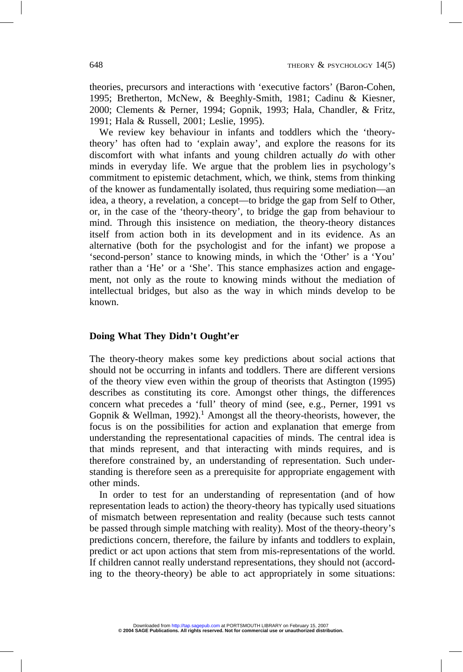theories, precursors and interactions with 'executive factors' (Baron-Cohen, 1995; Bretherton, McNew, & Beeghly-Smith, 1981; Cadinu & Kiesner, 2000; Clements & Perner, 1994; Gopnik, 1993; Hala, Chandler, & Fritz, 1991; Hala & Russell, 2001; Leslie, 1995).

We review key behaviour in infants and toddlers which the 'theorytheory' has often had to 'explain away', and explore the reasons for its discomfort with what infants and young children actually *do* with other minds in everyday life. We argue that the problem lies in psychology's commitment to epistemic detachment, which, we think, stems from thinking of the knower as fundamentally isolated, thus requiring some mediation—an idea, a theory, a revelation, a concept—to bridge the gap from Self to Other, or, in the case of the 'theory-theory', to bridge the gap from behaviour to mind. Through this insistence on mediation, the theory-theory distances itself from action both in its development and in its evidence. As an alternative (both for the psychologist and for the infant) we propose a 'second-person' stance to knowing minds, in which the 'Other' is a 'You' rather than a 'He' or a 'She'. This stance emphasizes action and engagement, not only as the route to knowing minds without the mediation of intellectual bridges, but also as the way in which minds develop to be known.

#### **Doing What They Didn't Ought'er**

The theory-theory makes some key predictions about social actions that should not be occurring in infants and toddlers. There are different versions of the theory view even within the group of theorists that Astington (1995) describes as constituting its core. Amongst other things, the differences concern what precedes a 'full' theory of mind (see, e.g., Perner, 1991 vs Gopnik & Wellman, 1992).<sup>1</sup> Amongst all the theory-theorists, however, the focus is on the possibilities for action and explanation that emerge from understanding the representational capacities of minds. The central idea is that minds represent, and that interacting with minds requires, and is therefore constrained by, an understanding of representation. Such understanding is therefore seen as a prerequisite for appropriate engagement with other minds.

In order to test for an understanding of representation (and of how representation leads to action) the theory-theory has typically used situations of mismatch between representation and reality (because such tests cannot be passed through simple matching with reality). Most of the theory-theory's predictions concern, therefore, the failure by infants and toddlers to explain, predict or act upon actions that stem from mis-representations of the world. If children cannot really understand representations, they should not (according to the theory-theory) be able to act appropriately in some situations: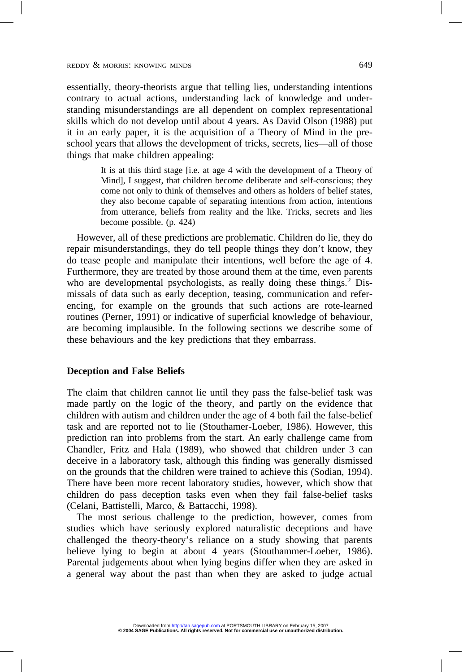essentially, theory-theorists argue that telling lies, understanding intentions contrary to actual actions, understanding lack of knowledge and understanding misunderstandings are all dependent on complex representational skills which do not develop until about 4 years. As David Olson (1988) put it in an early paper, it is the acquisition of a Theory of Mind in the preschool years that allows the development of tricks, secrets, lies—all of those things that make children appealing:

> It is at this third stage [i.e. at age 4 with the development of a Theory of Mind], I suggest, that children become deliberate and self-conscious; they come not only to think of themselves and others as holders of belief states, they also become capable of separating intentions from action, intentions from utterance, beliefs from reality and the like. Tricks, secrets and lies become possible. (p. 424)

However, all of these predictions are problematic. Children do lie, they do repair misunderstandings, they do tell people things they don't know, they do tease people and manipulate their intentions, well before the age of 4. Furthermore, they are treated by those around them at the time, even parents who are developmental psychologists, as really doing these things.<sup>2</sup> Dismissals of data such as early deception, teasing, communication and referencing, for example on the grounds that such actions are rote-learned routines (Perner, 1991) or indicative of superficial knowledge of behaviour, are becoming implausible. In the following sections we describe some of these behaviours and the key predictions that they embarrass.

#### **Deception and False Beliefs**

The claim that children cannot lie until they pass the false-belief task was made partly on the logic of the theory, and partly on the evidence that children with autism and children under the age of 4 both fail the false-belief task and are reported not to lie (Stouthamer-Loeber, 1986). However, this prediction ran into problems from the start. An early challenge came from Chandler, Fritz and Hala (1989), who showed that children under 3 can deceive in a laboratory task, although this finding was generally dismissed on the grounds that the children were trained to achieve this (Sodian, 1994). There have been more recent laboratory studies, however, which show that children do pass deception tasks even when they fail false-belief tasks (Celani, Battistelli, Marco, & Battacchi, 1998).

The most serious challenge to the prediction, however, comes from studies which have seriously explored naturalistic deceptions and have challenged the theory-theory's reliance on a study showing that parents believe lying to begin at about 4 years (Stouthammer-Loeber, 1986). Parental judgements about when lying begins differ when they are asked in a general way about the past than when they are asked to judge actual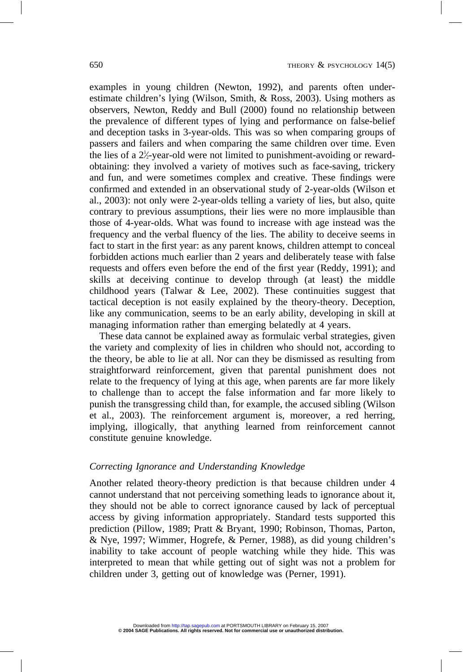examples in young children (Newton, 1992), and parents often underestimate children's lying (Wilson, Smith, & Ross, 2003). Using mothers as observers, Newton, Reddy and Bull (2000) found no relationship between the prevalence of different types of lying and performance on false-belief and deception tasks in 3-year-olds. This was so when comparing groups of passers and failers and when comparing the same children over time. Even the lies of a  $2\frac{1}{2}$ -year-old were not limited to punishment-avoiding or rewardobtaining: they involved a variety of motives such as face-saving, trickery and fun, and were sometimes complex and creative. These findings were confirmed and extended in an observational study of 2-year-olds (Wilson et al., 2003): not only were 2-year-olds telling a variety of lies, but also, quite contrary to previous assumptions, their lies were no more implausible than those of 4-year-olds. What was found to increase with age instead was the frequency and the verbal fluency of the lies. The ability to deceive seems in fact to start in the first year: as any parent knows, children attempt to conceal forbidden actions much earlier than 2 years and deliberately tease with false requests and offers even before the end of the first year (Reddy, 1991); and skills at deceiving continue to develop through (at least) the middle childhood years (Talwar & Lee, 2002). These continuities suggest that tactical deception is not easily explained by the theory-theory. Deception, like any communication, seems to be an early ability, developing in skill at managing information rather than emerging belatedly at 4 years.

These data cannot be explained away as formulaic verbal strategies, given the variety and complexity of lies in children who should not, according to the theory, be able to lie at all. Nor can they be dismissed as resulting from straightforward reinforcement, given that parental punishment does not relate to the frequency of lying at this age, when parents are far more likely to challenge than to accept the false information and far more likely to punish the transgressing child than, for example, the accused sibling (Wilson et al., 2003). The reinforcement argument is, moreover, a red herring, implying, illogically, that anything learned from reinforcement cannot constitute genuine knowledge.

#### *Correcting Ignorance and Understanding Knowledge*

Another related theory-theory prediction is that because children under 4 cannot understand that not perceiving something leads to ignorance about it, they should not be able to correct ignorance caused by lack of perceptual access by giving information appropriately. Standard tests supported this prediction (Pillow, 1989; Pratt & Bryant, 1990; Robinson, Thomas, Parton, & Nye, 1997; Wimmer, Hogrefe, & Perner, 1988), as did young children's inability to take account of people watching while they hide. This was interpreted to mean that while getting out of sight was not a problem for children under 3, getting out of knowledge was (Perner, 1991).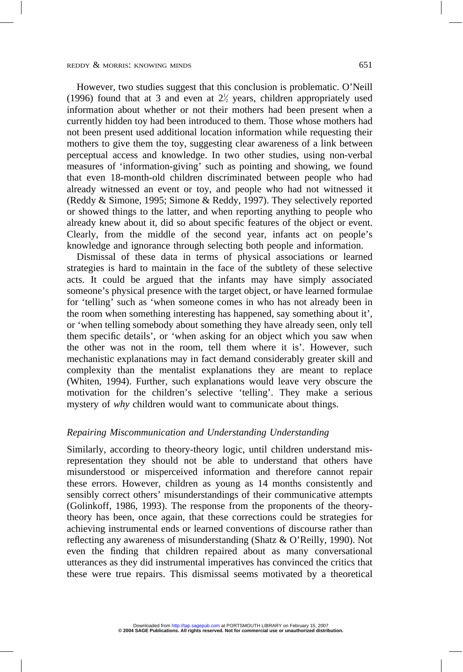However, two studies suggest that this conclusion is problematic. O'Neill (1996) found that at 3 and even at  $2\frac{1}{2}$  years, children appropriately used information about whether or not their mothers had been present when a currently hidden toy had been introduced to them. Those whose mothers had not been present used additional location information while requesting their mothers to give them the toy, suggesting clear awareness of a link between perceptual access and knowledge. In two other studies, using non-verbal measures of 'information-giving' such as pointing and showing, we found that even 18-month-old children discriminated between people who had already witnessed an event or toy, and people who had not witnessed it (Reddy & Simone, 1995; Simone & Reddy, 1997). They selectively reported or showed things to the latter, and when reporting anything to people who already knew about it, did so about specific features of the object or event. Clearly, from the middle of the second year, infants act on people's knowledge and ignorance through selecting both people and information.

Dismissal of these data in terms of physical associations or learned strategies is hard to maintain in the face of the subtlety of these selective acts. It could be argued that the infants may have simply associated someone's physical presence with the target object, or have learned formulae for 'telling' such as 'when someone comes in who has not already been in the room when something interesting has happened, say something about it', or 'when telling somebody about something they have already seen, only tell them specific details', or 'when asking for an object which you saw when the other was not in the room, tell them where it is'. However, such mechanistic explanations may in fact demand considerably greater skill and complexity than the mentalist explanations they are meant to replace (Whiten, 1994). Further, such explanations would leave very obscure the motivation for the children's selective 'telling'. They make a serious mystery of *why* children would want to communicate about things.

#### *Repairing Miscommunication and Understanding Understanding*

Similarly, according to theory-theory logic, until children understand misrepresentation they should not be able to understand that others have misunderstood or misperceived information and therefore cannot repair these errors. However, children as young as 14 months consistently and sensibly correct others' misunderstandings of their communicative attempts (Golinkoff, 1986, 1993). The response from the proponents of the theorytheory has been, once again, that these corrections could be strategies for achieving instrumental ends or learned conventions of discourse rather than reflecting any awareness of misunderstanding (Shatz & O'Reilly, 1990). Not even the finding that children repaired about as many conversational utterances as they did instrumental imperatives has convinced the critics that these were true repairs. This dismissal seems motivated by a theoretical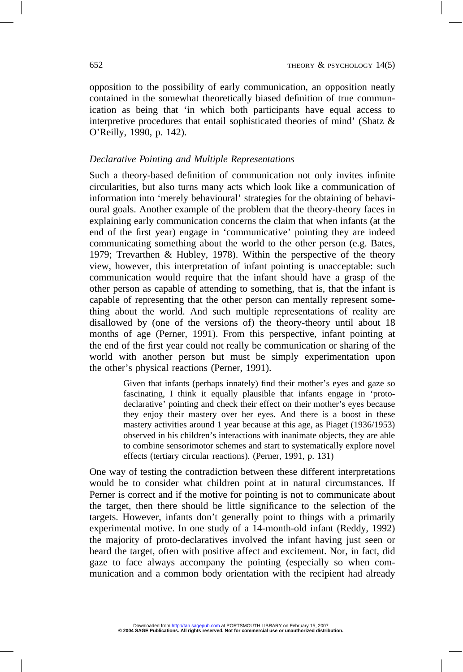opposition to the possibility of early communication, an opposition neatly contained in the somewhat theoretically biased definition of true communication as being that 'in which both participants have equal access to interpretive procedures that entail sophisticated theories of mind' (Shatz & O'Reilly, 1990, p. 142).

#### *Declarative Pointing and Multiple Representations*

Such a theory-based definition of communication not only invites infinite circularities, but also turns many acts which look like a communication of information into 'merely behavioural' strategies for the obtaining of behavioural goals. Another example of the problem that the theory-theory faces in explaining early communication concerns the claim that when infants (at the end of the first year) engage in 'communicative' pointing they are indeed communicating something about the world to the other person (e.g. Bates, 1979; Trevarthen & Hubley, 1978). Within the perspective of the theory view, however, this interpretation of infant pointing is unacceptable: such communication would require that the infant should have a grasp of the other person as capable of attending to something, that is, that the infant is capable of representing that the other person can mentally represent something about the world. And such multiple representations of reality are disallowed by (one of the versions of) the theory-theory until about 18 months of age (Perner, 1991). From this perspective, infant pointing at the end of the first year could not really be communication or sharing of the world with another person but must be simply experimentation upon the other's physical reactions (Perner, 1991).

> Given that infants (perhaps innately) find their mother's eyes and gaze so fascinating, I think it equally plausible that infants engage in 'protodeclarative' pointing and check their effect on their mother's eyes because they enjoy their mastery over her eyes. And there is a boost in these mastery activities around 1 year because at this age, as Piaget (1936/1953) observed in his children's interactions with inanimate objects, they are able to combine sensorimotor schemes and start to systematically explore novel effects (tertiary circular reactions). (Perner, 1991, p. 131)

One way of testing the contradiction between these different interpretations would be to consider what children point at in natural circumstances. If Perner is correct and if the motive for pointing is not to communicate about the target, then there should be little significance to the selection of the targets. However, infants don't generally point to things with a primarily experimental motive. In one study of a 14-month-old infant (Reddy, 1992) the majority of proto-declaratives involved the infant having just seen or heard the target, often with positive affect and excitement. Nor, in fact, did gaze to face always accompany the pointing (especially so when communication and a common body orientation with the recipient had already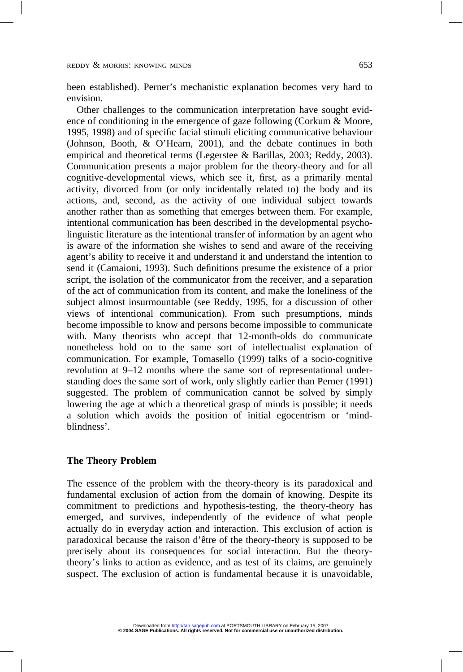been established). Perner's mechanistic explanation becomes very hard to envision.

Other challenges to the communication interpretation have sought evidence of conditioning in the emergence of gaze following (Corkum & Moore, 1995, 1998) and of specific facial stimuli eliciting communicative behaviour (Johnson, Booth, & O'Hearn, 2001), and the debate continues in both empirical and theoretical terms (Legerstee & Barillas, 2003; Reddy, 2003). Communication presents a major problem for the theory-theory and for all cognitive-developmental views, which see it, first, as a primarily mental activity, divorced from (or only incidentally related to) the body and its actions, and, second, as the activity of one individual subject towards another rather than as something that emerges between them. For example, intentional communication has been described in the developmental psycholinguistic literature as the intentional transfer of information by an agent who is aware of the information she wishes to send and aware of the receiving agent's ability to receive it and understand it and understand the intention to send it (Camaioni, 1993). Such definitions presume the existence of a prior script, the isolation of the communicator from the receiver, and a separation of the act of communication from its content, and make the loneliness of the subject almost insurmountable (see Reddy, 1995, for a discussion of other views of intentional communication). From such presumptions, minds become impossible to know and persons become impossible to communicate with. Many theorists who accept that 12-month-olds do communicate nonetheless hold on to the same sort of intellectualist explanation of communication. For example, Tomasello (1999) talks of a socio-cognitive revolution at 9–12 months where the same sort of representational understanding does the same sort of work, only slightly earlier than Perner (1991) suggested. The problem of communication cannot be solved by simply lowering the age at which a theoretical grasp of minds is possible; it needs a solution which avoids the position of initial egocentrism or 'mindblindness'.

#### **The Theory Problem**

The essence of the problem with the theory-theory is its paradoxical and fundamental exclusion of action from the domain of knowing. Despite its commitment to predictions and hypothesis-testing, the theory-theory has emerged, and survives, independently of the evidence of what people actually do in everyday action and interaction. This exclusion of action is paradoxical because the raison d'être of the theory-theory is supposed to be precisely about its consequences for social interaction. But the theorytheory's links to action as evidence, and as test of its claims, are genuinely suspect. The exclusion of action is fundamental because it is unavoidable,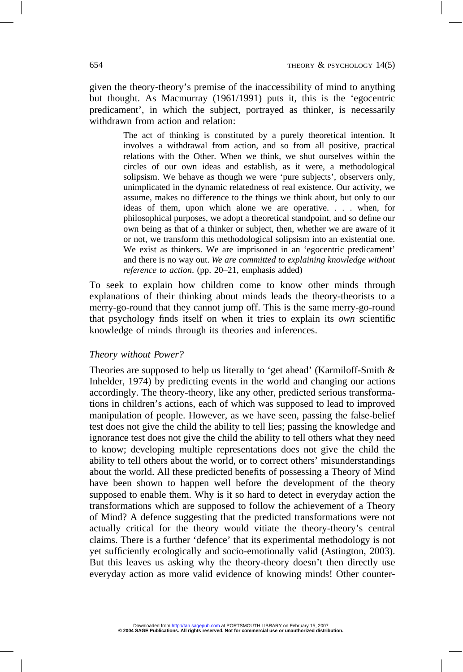given the theory-theory's premise of the inaccessibility of mind to anything but thought. As Macmurray (1961/1991) puts it, this is the 'egocentric predicament', in which the subject, portrayed as thinker, is necessarily withdrawn from action and relation:

> The act of thinking is constituted by a purely theoretical intention. It involves a withdrawal from action, and so from all positive, practical relations with the Other. When we think, we shut ourselves within the circles of our own ideas and establish, as it were, a methodological solipsism. We behave as though we were 'pure subjects', observers only, unimplicated in the dynamic relatedness of real existence. Our activity, we assume, makes no difference to the things we think about, but only to our ideas of them, upon which alone we are operative. . . . when, for philosophical purposes, we adopt a theoretical standpoint, and so define our own being as that of a thinker or subject, then, whether we are aware of it or not, we transform this methodological solipsism into an existential one. We exist as thinkers. We are imprisoned in an 'egocentric predicament' and there is no way out. *We are committed to explaining knowledge without reference to action*. (pp. 20–21, emphasis added)

To seek to explain how children come to know other minds through explanations of their thinking about minds leads the theory-theorists to a merry-go-round that they cannot jump off. This is the same merry-go-round that psychology finds itself on when it tries to explain its *own* scientific knowledge of minds through its theories and inferences.

#### *Theory without Power?*

Theories are supposed to help us literally to 'get ahead' (Karmiloff-Smith & Inhelder, 1974) by predicting events in the world and changing our actions accordingly. The theory-theory, like any other, predicted serious transformations in children's actions, each of which was supposed to lead to improved manipulation of people. However, as we have seen, passing the false-belief test does not give the child the ability to tell lies; passing the knowledge and ignorance test does not give the child the ability to tell others what they need to know; developing multiple representations does not give the child the ability to tell others about the world, or to correct others' misunderstandings about the world. All these predicted benefits of possessing a Theory of Mind have been shown to happen well before the development of the theory supposed to enable them. Why is it so hard to detect in everyday action the transformations which are supposed to follow the achievement of a Theory of Mind? A defence suggesting that the predicted transformations were not actually critical for the theory would vitiate the theory-theory's central claims. There is a further 'defence' that its experimental methodology is not yet sufficiently ecologically and socio-emotionally valid (Astington, 2003). But this leaves us asking why the theory-theory doesn't then directly use everyday action as more valid evidence of knowing minds! Other counter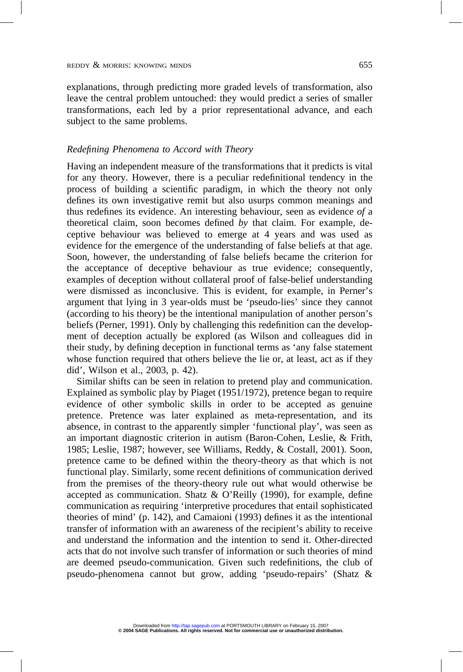explanations, through predicting more graded levels of transformation, also leave the central problem untouched: they would predict a series of smaller transformations, each led by a prior representational advance, and each subject to the same problems.

#### *Redefining Phenomena to Accord with Theory*

Having an independent measure of the transformations that it predicts is vital for any theory. However, there is a peculiar redefinitional tendency in the process of building a scientific paradigm, in which the theory not only defines its own investigative remit but also usurps common meanings and thus redefines its evidence. An interesting behaviour, seen as evidence *of* a theoretical claim, soon becomes defined *by* that claim. For example, deceptive behaviour was believed to emerge at 4 years and was used as evidence for the emergence of the understanding of false beliefs at that age. Soon, however, the understanding of false beliefs became the criterion for the acceptance of deceptive behaviour as true evidence; consequently, examples of deception without collateral proof of false-belief understanding were dismissed as inconclusive. This is evident, for example, in Perner's argument that lying in 3 year-olds must be 'pseudo-lies' since they cannot (according to his theory) be the intentional manipulation of another person's beliefs (Perner, 1991). Only by challenging this redefinition can the development of deception actually be explored (as Wilson and colleagues did in their study, by defining deception in functional terms as 'any false statement whose function required that others believe the lie or, at least, act as if they did', Wilson et al., 2003, p. 42).

Similar shifts can be seen in relation to pretend play and communication. Explained as symbolic play by Piaget (1951/1972), pretence began to require evidence of other symbolic skills in order to be accepted as genuine pretence. Pretence was later explained as meta-representation, and its absence, in contrast to the apparently simpler 'functional play', was seen as an important diagnostic criterion in autism (Baron-Cohen, Leslie, & Frith, 1985; Leslie, 1987; however, see Williams, Reddy, & Costall, 2001). Soon, pretence came to be defined within the theory-theory as that which is not functional play. Similarly, some recent definitions of communication derived from the premises of the theory-theory rule out what would otherwise be accepted as communication. Shatz & O'Reilly (1990), for example, define communication as requiring 'interpretive procedures that entail sophisticated theories of mind' (p. 142), and Camaioni (1993) defines it as the intentional transfer of information with an awareness of the recipient's ability to receive and understand the information and the intention to send it. Other-directed acts that do not involve such transfer of information or such theories of mind are deemed pseudo-communication. Given such redefinitions, the club of pseudo-phenomena cannot but grow, adding 'pseudo-repairs' (Shatz &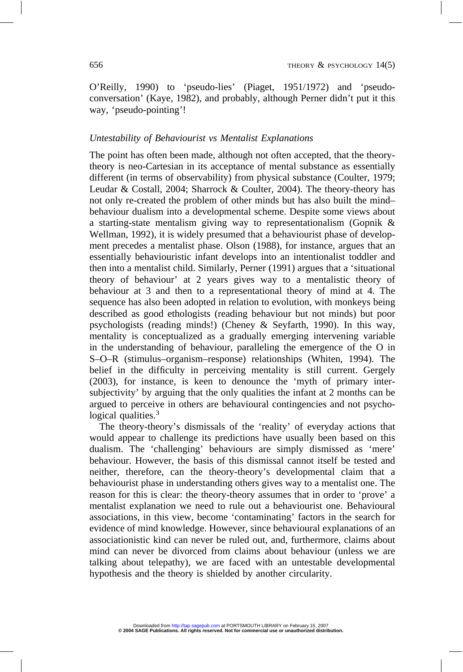O'Reilly, 1990) to 'pseudo-lies' (Piaget, 1951/1972) and 'pseudoconversation' (Kaye, 1982), and probably, although Perner didn't put it this way, 'pseudo-pointing'!

#### *Untestability of Behaviourist vs Mentalist Explanations*

The point has often been made, although not often accepted, that the theorytheory is neo-Cartesian in its acceptance of mental substance as essentially different (in terms of observability) from physical substance (Coulter, 1979; Leudar & Costall, 2004; Sharrock & Coulter, 2004). The theory-theory has not only re-created the problem of other minds but has also built the mind– behaviour dualism into a developmental scheme. Despite some views about a starting-state mentalism giving way to representationalism (Gopnik & Wellman, 1992), it is widely presumed that a behaviourist phase of development precedes a mentalist phase. Olson (1988), for instance, argues that an essentially behaviouristic infant develops into an intentionalist toddler and then into a mentalist child. Similarly, Perner (1991) argues that a 'situational theory of behaviour' at 2 years gives way to a mentalistic theory of behaviour at 3 and then to a representational theory of mind at 4. The sequence has also been adopted in relation to evolution, with monkeys being described as good ethologists (reading behaviour but not minds) but poor psychologists (reading minds!) (Cheney & Seyfarth, 1990). In this way, mentality is conceptualized as a gradually emerging intervening variable in the understanding of behaviour, paralleling the emergence of the O in S–O–R (stimulus–organism–response) relationships (Whiten, 1994). The belief in the difficulty in perceiving mentality is still current. Gergely (2003), for instance, is keen to denounce the 'myth of primary intersubjectivity' by arguing that the only qualities the infant at 2 months can be argued to perceive in others are behavioural contingencies and not psychological qualities.<sup>3</sup>

The theory-theory's dismissals of the 'reality' of everyday actions that would appear to challenge its predictions have usually been based on this dualism. The 'challenging' behaviours are simply dismissed as 'mere' behaviour. However, the basis of this dismissal cannot itself be tested and neither, therefore, can the theory-theory's developmental claim that a behaviourist phase in understanding others gives way to a mentalist one. The reason for this is clear: the theory-theory assumes that in order to 'prove' a mentalist explanation we need to rule out a behaviourist one. Behavioural associations, in this view, become 'contaminating' factors in the search for evidence of mind knowledge. However, since behavioural explanations of an associationistic kind can never be ruled out, and, furthermore, claims about mind can never be divorced from claims about behaviour (unless we are talking about telepathy), we are faced with an untestable developmental hypothesis and the theory is shielded by another circularity.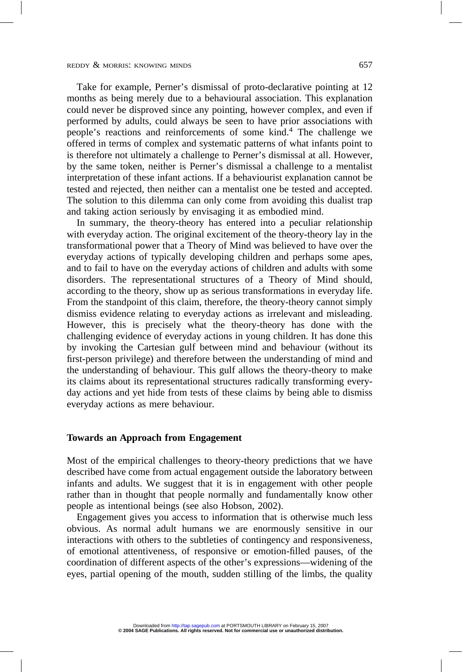Take for example, Perner's dismissal of proto-declarative pointing at 12 months as being merely due to a behavioural association. This explanation could never be disproved since any pointing, however complex, and even if performed by adults, could always be seen to have prior associations with people's reactions and reinforcements of some kind.<sup>4</sup> The challenge we offered in terms of complex and systematic patterns of what infants point to is therefore not ultimately a challenge to Perner's dismissal at all. However, by the same token, neither is Perner's dismissal a challenge to a mentalist interpretation of these infant actions. If a behaviourist explanation cannot be tested and rejected, then neither can a mentalist one be tested and accepted. The solution to this dilemma can only come from avoiding this dualist trap and taking action seriously by envisaging it as embodied mind.

In summary, the theory-theory has entered into a peculiar relationship with everyday action. The original excitement of the theory-theory lay in the transformational power that a Theory of Mind was believed to have over the everyday actions of typically developing children and perhaps some apes, and to fail to have on the everyday actions of children and adults with some disorders. The representational structures of a Theory of Mind should, according to the theory, show up as serious transformations in everyday life. From the standpoint of this claim, therefore, the theory-theory cannot simply dismiss evidence relating to everyday actions as irrelevant and misleading. However, this is precisely what the theory-theory has done with the challenging evidence of everyday actions in young children. It has done this by invoking the Cartesian gulf between mind and behaviour (without its first-person privilege) and therefore between the understanding of mind and the understanding of behaviour. This gulf allows the theory-theory to make its claims about its representational structures radically transforming everyday actions and yet hide from tests of these claims by being able to dismiss everyday actions as mere behaviour.

#### **Towards an Approach from Engagement**

Most of the empirical challenges to theory-theory predictions that we have described have come from actual engagement outside the laboratory between infants and adults. We suggest that it is in engagement with other people rather than in thought that people normally and fundamentally know other people as intentional beings (see also Hobson, 2002).

Engagement gives you access to information that is otherwise much less obvious. As normal adult humans we are enormously sensitive in our interactions with others to the subtleties of contingency and responsiveness, of emotional attentiveness, of responsive or emotion-filled pauses, of the coordination of different aspects of the other's expressions—widening of the eyes, partial opening of the mouth, sudden stilling of the limbs, the quality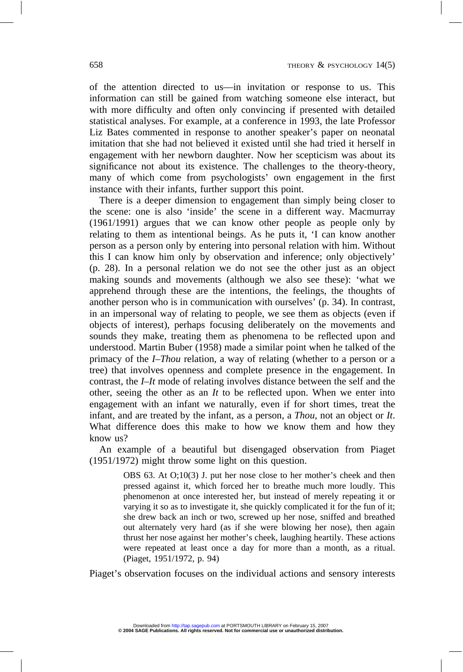of the attention directed to us—in invitation or response to us. This information can still be gained from watching someone else interact, but with more difficulty and often only convincing if presented with detailed statistical analyses. For example, at a conference in 1993, the late Professor Liz Bates commented in response to another speaker's paper on neonatal imitation that she had not believed it existed until she had tried it herself in engagement with her newborn daughter. Now her scepticism was about its significance not about its existence. The challenges to the theory-theory, many of which come from psychologists' own engagement in the first instance with their infants, further support this point.

There is a deeper dimension to engagement than simply being closer to the scene: one is also 'inside' the scene in a different way. Macmurray (1961/1991) argues that we can know other people as people only by relating to them as intentional beings. As he puts it, 'I can know another person as a person only by entering into personal relation with him. Without this I can know him only by observation and inference; only objectively' (p. 28). In a personal relation we do not see the other just as an object making sounds and movements (although we also see these): 'what we apprehend through these are the intentions, the feelings, the thoughts of another person who is in communication with ourselves' (p. 34). In contrast, in an impersonal way of relating to people, we see them as objects (even if objects of interest), perhaps focusing deliberately on the movements and sounds they make, treating them as phenomena to be reflected upon and understood. Martin Buber (1958) made a similar point when he talked of the primacy of the *I–Thou* relation, a way of relating (whether to a person or a tree) that involves openness and complete presence in the engagement. In contrast, the *I–It* mode of relating involves distance between the self and the other, seeing the other as an *It* to be reflected upon. When we enter into engagement with an infant we naturally, even if for short times, treat the infant, and are treated by the infant, as a person, a *Thou*, not an object or *It*. What difference does this make to how we know them and how they know us?

An example of a beautiful but disengaged observation from Piaget (1951/1972) might throw some light on this question.

> OBS 63. At O;10(3) J. put her nose close to her mother's cheek and then pressed against it, which forced her to breathe much more loudly. This phenomenon at once interested her, but instead of merely repeating it or varying it so as to investigate it, she quickly complicated it for the fun of it; she drew back an inch or two, screwed up her nose, sniffed and breathed out alternately very hard (as if she were blowing her nose), then again thrust her nose against her mother's cheek, laughing heartily. These actions were repeated at least once a day for more than a month, as a ritual. (Piaget, 1951/1972, p. 94)

Piaget's observation focuses on the individual actions and sensory interests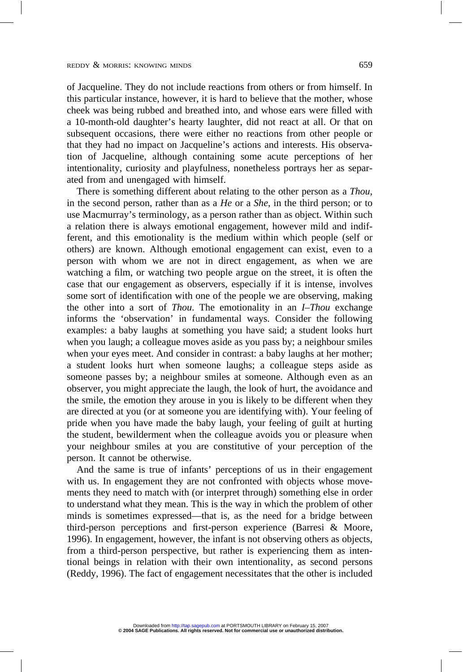of Jacqueline. They do not include reactions from others or from himself. In this particular instance, however, it is hard to believe that the mother, whose cheek was being rubbed and breathed into, and whose ears were filled with a 10-month-old daughter's hearty laughter, did not react at all. Or that on subsequent occasions, there were either no reactions from other people or that they had no impact on Jacqueline's actions and interests. His observation of Jacqueline, although containing some acute perceptions of her intentionality, curiosity and playfulness, nonetheless portrays her as separated from and unengaged with himself.

There is something different about relating to the other person as a *Thou*, in the second person, rather than as a *He* or a *She*, in the third person; or to use Macmurray's terminology, as a person rather than as object. Within such a relation there is always emotional engagement, however mild and indifferent, and this emotionality is the medium within which people (self or others) are known. Although emotional engagement can exist, even to a person with whom we are not in direct engagement, as when we are watching a film, or watching two people argue on the street, it is often the case that our engagement as observers, especially if it is intense, involves some sort of identification with one of the people we are observing, making the other into a sort of *Thou*. The emotionality in an *I–Thou* exchange informs the 'observation' in fundamental ways. Consider the following examples: a baby laughs at something you have said; a student looks hurt when you laugh; a colleague moves aside as you pass by; a neighbour smiles when your eyes meet. And consider in contrast: a baby laughs at her mother; a student looks hurt when someone laughs; a colleague steps aside as someone passes by; a neighbour smiles at someone. Although even as an observer, you might appreciate the laugh, the look of hurt, the avoidance and the smile, the emotion they arouse in you is likely to be different when they are directed at you (or at someone you are identifying with). Your feeling of pride when you have made the baby laugh, your feeling of guilt at hurting the student, bewilderment when the colleague avoids you or pleasure when your neighbour smiles at you are constitutive of your perception of the person. It cannot be otherwise.

And the same is true of infants' perceptions of us in their engagement with us. In engagement they are not confronted with objects whose movements they need to match with (or interpret through) something else in order to understand what they mean. This is the way in which the problem of other minds is sometimes expressed—that is, as the need for a bridge between third-person perceptions and first-person experience (Barresi & Moore, 1996). In engagement, however, the infant is not observing others as objects, from a third-person perspective, but rather is experiencing them as intentional beings in relation with their own intentionality, as second persons (Reddy, 1996). The fact of engagement necessitates that the other is included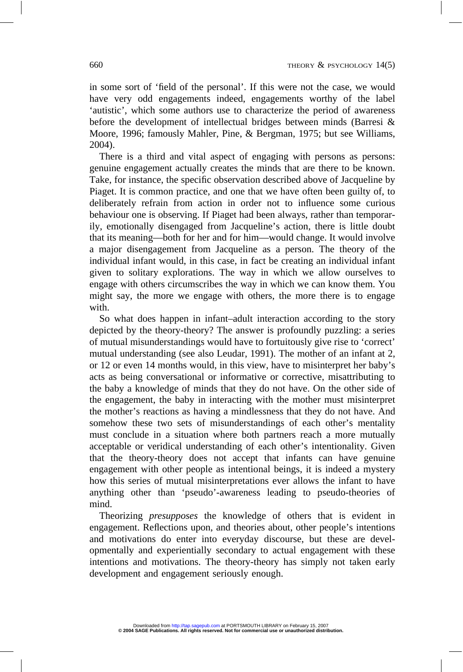in some sort of 'field of the personal'. If this were not the case, we would have very odd engagements indeed, engagements worthy of the label 'autistic', which some authors use to characterize the period of awareness before the development of intellectual bridges between minds (Barresi & Moore, 1996; famously Mahler, Pine, & Bergman, 1975; but see Williams, 2004).

There is a third and vital aspect of engaging with persons as persons: genuine engagement actually creates the minds that are there to be known. Take, for instance, the specific observation described above of Jacqueline by Piaget. It is common practice, and one that we have often been guilty of, to deliberately refrain from action in order not to influence some curious behaviour one is observing. If Piaget had been always, rather than temporarily, emotionally disengaged from Jacqueline's action, there is little doubt that its meaning—both for her and for him—would change. It would involve a major disengagement from Jacqueline as a person. The theory of the individual infant would, in this case, in fact be creating an individual infant given to solitary explorations. The way in which we allow ourselves to engage with others circumscribes the way in which we can know them. You might say, the more we engage with others, the more there is to engage with.

So what does happen in infant–adult interaction according to the story depicted by the theory-theory? The answer is profoundly puzzling: a series of mutual misunderstandings would have to fortuitously give rise to 'correct' mutual understanding (see also Leudar, 1991). The mother of an infant at 2, or 12 or even 14 months would, in this view, have to misinterpret her baby's acts as being conversational or informative or corrective, misattributing to the baby a knowledge of minds that they do not have. On the other side of the engagement, the baby in interacting with the mother must misinterpret the mother's reactions as having a mindlessness that they do not have. And somehow these two sets of misunderstandings of each other's mentality must conclude in a situation where both partners reach a more mutually acceptable or veridical understanding of each other's intentionality. Given that the theory-theory does not accept that infants can have genuine engagement with other people as intentional beings, it is indeed a mystery how this series of mutual misinterpretations ever allows the infant to have anything other than 'pseudo'-awareness leading to pseudo-theories of mind.

Theorizing *presupposes* the knowledge of others that is evident in engagement. Reflections upon, and theories about, other people's intentions and motivations do enter into everyday discourse, but these are developmentally and experientially secondary to actual engagement with these intentions and motivations. The theory-theory has simply not taken early development and engagement seriously enough.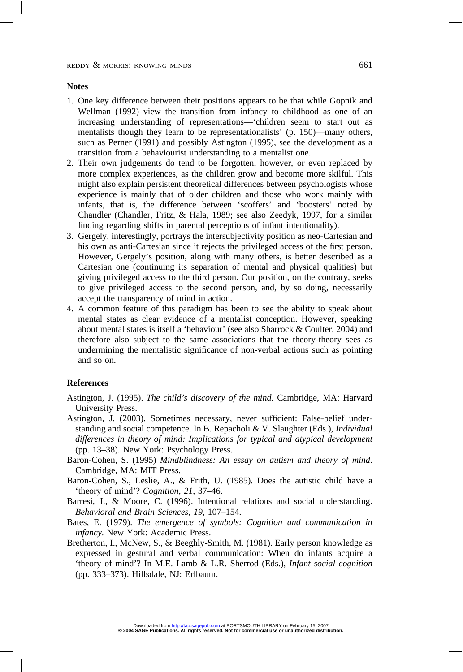#### **Notes**

- 1. One key difference between their positions appears to be that while Gopnik and Wellman (1992) view the transition from infancy to childhood as one of an increasing understanding of representations—'children seem to start out as mentalists though they learn to be representationalists' (p. 150)—many others, such as Perner (1991) and possibly Astington (1995), see the development as a transition from a behaviourist understanding to a mentalist one.
- 2. Their own judgements do tend to be forgotten, however, or even replaced by more complex experiences, as the children grow and become more skilful. This might also explain persistent theoretical differences between psychologists whose experience is mainly that of older children and those who work mainly with infants, that is, the difference between 'scoffers' and 'boosters' noted by Chandler (Chandler, Fritz, & Hala, 1989; see also Zeedyk, 1997, for a similar finding regarding shifts in parental perceptions of infant intentionality).
- 3. Gergely, interestingly, portrays the intersubjectivity position as neo-Cartesian and his own as anti-Cartesian since it rejects the privileged access of the first person. However, Gergely's position, along with many others, is better described as a Cartesian one (continuing its separation of mental and physical qualities) but giving privileged access to the third person. Our position, on the contrary, seeks to give privileged access to the second person, and, by so doing, necessarily accept the transparency of mind in action.
- 4. A common feature of this paradigm has been to see the ability to speak about mental states as clear evidence of a mentalist conception. However, speaking about mental states is itself a 'behaviour' (see also Sharrock & Coulter, 2004) and therefore also subject to the same associations that the theory-theory sees as undermining the mentalistic significance of non-verbal actions such as pointing and so on.

#### **References**

- Astington, J. (1995). *The child's discovery of the mind.* Cambridge, MA: Harvard University Press.
- Astington, J. (2003). Sometimes necessary, never sufficient: False-belief understanding and social competence. In B. Repacholi & V. Slaughter (Eds.), *Individual differences in theory of mind: Implications for typical and atypical development* (pp. 13–38). New York: Psychology Press.
- Baron-Cohen, S. (1995) *Mindblindness: An essay on autism and theory of mind*. Cambridge, MA: MIT Press.
- Baron-Cohen, S., Leslie, A., & Frith, U. (1985). Does the autistic child have a 'theory of mind'? *Cognition*, *21*, 37–46.
- Barresi, J., & Moore, C. (1996). Intentional relations and social understanding. *Behavioral and Brain Sciences*, *19*, 107–154.
- Bates, E. (1979). *The emergence of symbols: Cognition and communication in infancy*. New York: Academic Press.
- Bretherton, I., McNew, S., & Beeghly-Smith, M. (1981). Early person knowledge as expressed in gestural and verbal communication: When do infants acquire a 'theory of mind'? In M.E. Lamb & L.R. Sherrod (Eds.), *Infant social cognition* (pp. 333–373). Hillsdale, NJ: Erlbaum.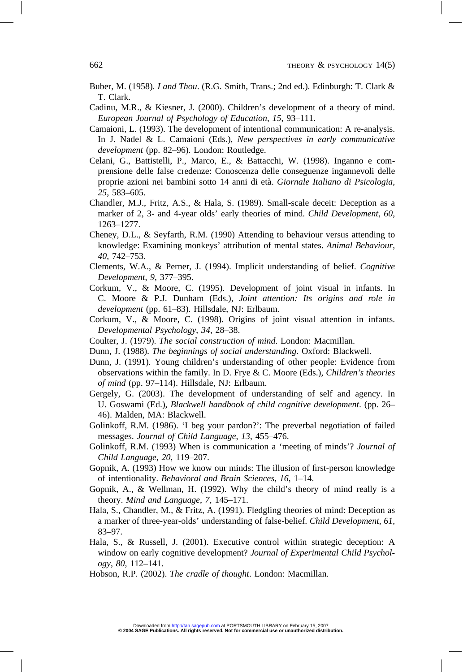- Buber, M. (1958). *I and Thou*. (R.G. Smith, Trans.; 2nd ed.). Edinburgh: T. Clark & T. Clark.
- Cadinu, M.R., & Kiesner, J. (2000). Children's development of a theory of mind. *European Journal of Psychology of Education*, *15*, 93–111.
- Camaioni, L. (1993). The development of intentional communication: A re-analysis. In J. Nadel & L. Camaioni (Eds.), *New perspectives in early communicative development* (pp. 82–96). London: Routledge.
- Celani, G., Battistelli, P., Marco, E., & Battacchi, W. (1998). Inganno e comprensione delle false credenze: Conoscenza delle conseguenze ingannevoli delle proprie azioni nei bambini sotto 14 anni di eta. ` *Giornale Italiano di Psicologia*, *25*, 583–605.
- Chandler, M.J., Fritz, A.S., & Hala, S. (1989). Small-scale deceit: Deception as a marker of 2, 3- and 4-year olds' early theories of mind. *Child Development*, *60*, 1263–1277.
- Cheney, D.L., & Seyfarth, R.M. (1990) Attending to behaviour versus attending to knowledge: Examining monkeys' attribution of mental states. *Animal Behaviour*, *40*, 742–753.
- Clements, W.A., & Perner, J. (1994). Implicit understanding of belief. *Cognitive Development*, *9*, 377–395.
- Corkum, V., & Moore, C. (1995). Development of joint visual in infants. In C. Moore & P.J. Dunham (Eds.), *Joint attention: Its origins and role in development* (pp. 61–83). Hillsdale, NJ: Erlbaum.
- Corkum, V., & Moore, C. (1998). Origins of joint visual attention in infants. *Developmental Psychology*, *34*, 28–38.
- Coulter, J. (1979). *The social construction of mind*. London: Macmillan.
- Dunn, J. (1988). *The beginnings of social understanding*. Oxford: Blackwell.
- Dunn, J. (1991). Young children's understanding of other people: Evidence from observations within the family. In D. Frye & C. Moore (Eds.), *Children's theories of mind* (pp. 97–114). Hillsdale, NJ: Erlbaum.
- Gergely, G. (2003). The development of understanding of self and agency. In U. Goswami (Ed.), *Blackwell handbook of child cognitive development*. (pp. 26– 46). Malden, MA: Blackwell.
- Golinkoff, R.M. (1986). 'I beg your pardon?': The preverbal negotiation of failed messages. *Journal of Child Language*, *13*, 455–476.
- Golinkoff, R.M. (1993) When is communication a 'meeting of minds'? *Journal of Child Language*, *20*, 119–207.
- Gopnik, A. (1993) How we know our minds: The illusion of first-person knowledge of intentionality. *Behavioral and Brain Sciences*, *16*, 1–14.
- Gopnik, A., & Wellman, H. (1992). Why the child's theory of mind really is a theory. *Mind and Language*, *7*, 145–171.
- Hala, S., Chandler, M., & Fritz, A. (1991). Fledgling theories of mind: Deception as a marker of three-year-olds' understanding of false-belief. *Child Development*, *61*, 83–97.
- Hala, S., & Russell, J. (2001). Executive control within strategic deception: A window on early cognitive development? *Journal of Experimental Child Psychology*, *80*, 112–141.
- Hobson, R.P. (2002). *The cradle of thought*. London: Macmillan.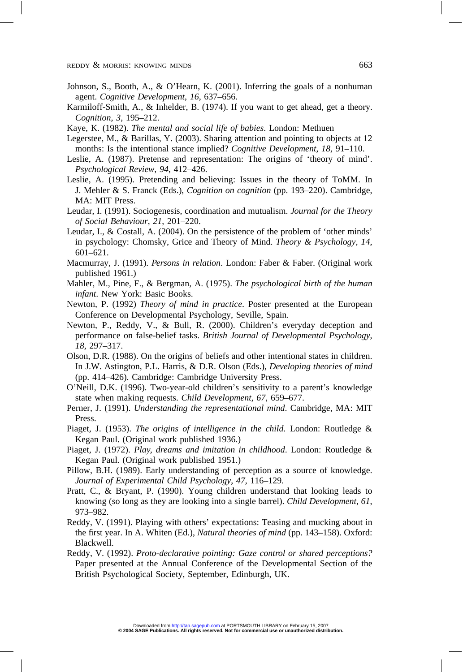- Johnson, S., Booth, A., & O'Hearn, K. (2001). Inferring the goals of a nonhuman agent. *Cognitive Development*, *16*, 637–656.
- Karmiloff-Smith, A., & Inhelder, B. (1974). If you want to get ahead, get a theory. *Cognition*, *3*, 195–212.
- Kaye, K. (1982). *The mental and social life of babies*. London: Methuen
- Legerstee, M., & Barillas, Y. (2003). Sharing attention and pointing to objects at 12 months: Is the intentional stance implied? *Cognitive Development*, *18*, 91–110.
- Leslie, A. (1987). Pretense and representation: The origins of 'theory of mind'. *Psychological Review*, *94*, 412–426.
- Leslie, A. (1995). Pretending and believing: Issues in the theory of ToMM. In J. Mehler & S. Franck (Eds.), *Cognition on cognition* (pp. 193–220). Cambridge, MA: MIT Press.
- Leudar, I. (1991). Sociogenesis, coordination and mutualism. *Journal for the Theory of Social Behaviour*, *21*, 201–220.
- Leudar, I., & Costall, A. (2004). On the persistence of the problem of 'other minds' in psychology: Chomsky, Grice and Theory of Mind. *Theory & Psychology*, *14*, 601–621.
- Macmurray, J. (1991). *Persons in relation*. London: Faber & Faber. (Original work published 1961.)
- Mahler, M., Pine, F., & Bergman, A. (1975). *The psychological birth of the human infant*. New York: Basic Books.
- Newton, P. (1992) *Theory of mind in practice*. Poster presented at the European Conference on Developmental Psychology, Seville, Spain.
- Newton, P., Reddy, V., & Bull, R. (2000). Children's everyday deception and performance on false-belief tasks. *British Journal of Developmental Psychology*, *18*, 297–317.
- Olson, D.R. (1988). On the origins of beliefs and other intentional states in children. In J.W. Astington, P.L. Harris, & D.R. Olson (Eds.), *Developing theories of mind* (pp. 414–426). Cambridge: Cambridge University Press.
- O'Neill, D.K. (1996). Two-year-old children's sensitivity to a parent's knowledge state when making requests. *Child Development*, *67*, 659–677.
- Perner, J. (1991). *Understanding the representational mind*. Cambridge, MA: MIT Press.
- Piaget, J. (1953). *The origins of intelligence in the child.* London: Routledge & Kegan Paul. (Original work published 1936.)
- Piaget, J. (1972). *Play, dreams and imitation in childhood*. London: Routledge & Kegan Paul. (Original work published 1951.)
- Pillow, B.H. (1989). Early understanding of perception as a source of knowledge. *Journal of Experimental Child Psychology*, *47*, 116–129.
- Pratt, C., & Bryant, P. (1990). Young children understand that looking leads to knowing (so long as they are looking into a single barrel). *Child Development*, *61*, 973–982.
- Reddy, V. (1991). Playing with others' expectations: Teasing and mucking about in the first year. In A. Whiten (Ed.), *Natural theories of mind* (pp. 143–158). Oxford: Blackwell.
- Reddy, V. (1992). *Proto-declarative pointing: Gaze control or shared perceptions?* Paper presented at the Annual Conference of the Developmental Section of the British Psychological Society, September, Edinburgh, UK.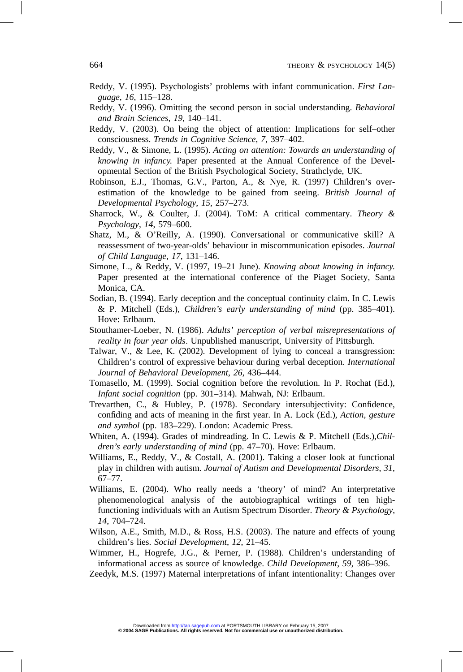- Reddy, V. (1995). Psychologists' problems with infant communication. *First Language*, *16*, 115–128.
- Reddy, V. (1996). Omitting the second person in social understanding. *Behavioral and Brain Sciences*, *19*, 140–141.
- Reddy, V. (2003). On being the object of attention: Implications for self–other consciousness. *Trends in Cognitive Science*, *7*, 397–402.
- Reddy, V., & Simone, L. (1995). *Acting on attention: Towards an understanding of knowing in infancy.* Paper presented at the Annual Conference of the Developmental Section of the British Psychological Society, Strathclyde, UK.
- Robinson, E.J., Thomas, G.V., Parton, A., & Nye, R. (1997) Children's overestimation of the knowledge to be gained from seeing. *British Journal of Developmental Psychology*, *15*, 257–273.
- Sharrock, W., & Coulter, J. (2004). ToM: A critical commentary. *Theory & Psychology*, *14*, 579–600.
- Shatz, M., & O'Reilly, A. (1990). Conversational or communicative skill? A reassessment of two-year-olds' behaviour in miscommunication episodes. *Journal of Child Language*, *17*, 131–146.
- Simone, L., & Reddy, V. (1997, 19–21 June). *Knowing about knowing in infancy.* Paper presented at the international conference of the Piaget Society, Santa Monica, CA.
- Sodian, B. (1994). Early deception and the conceptual continuity claim. In C. Lewis & P. Mitchell (Eds.), *Children's early understanding of mind* (pp. 385–401). Hove: Erlbaum.
- Stouthamer-Loeber, N. (1986). *Adults' perception of verbal misrepresentations of reality in four year olds*. Unpublished manuscript, University of Pittsburgh.
- Talwar, V., & Lee, K. (2002). Development of lying to conceal a transgression: Children's control of expressive behaviour during verbal deception. *International Journal of Behavioral Development*, *26*, 436–444.
- Tomasello, M. (1999). Social cognition before the revolution. In P. Rochat (Ed.), *Infant social cognition* (pp. 301–314). Mahwah, NJ: Erlbaum.
- Trevarthen, C., & Hubley, P. (1978). Secondary intersubjectivity: Confidence, confiding and acts of meaning in the first year. In A. Lock (Ed.), *Action, gesture and symbol* (pp. 183–229). London: Academic Press.
- Whiten, A. (1994). Grades of mindreading. In C. Lewis & P. Mitchell (Eds.),*Children's early understanding of mind* (pp. 47–70). Hove: Erlbaum.
- Williams, E., Reddy, V., & Costall, A. (2001). Taking a closer look at functional play in children with autism. *Journal of Autism and Developmental Disorders*, *31*, 67–77.
- Williams, E. (2004). Who really needs a 'theory' of mind? An interpretative phenomenological analysis of the autobiographical writings of ten highfunctioning individuals with an Autism Spectrum Disorder. *Theory & Psychology*, *14*, 704–724.
- Wilson, A.E., Smith, M.D., & Ross, H.S. (2003). The nature and effects of young children's lies. *Social Development*, *12*, 21–45.
- Wimmer, H., Hogrefe, J.G., & Perner, P. (1988). Children's understanding of informational access as source of knowledge. *Child Development*, *59*, 386–396.
- Zeedyk, M.S. (1997) Maternal interpretations of infant intentionality: Changes over